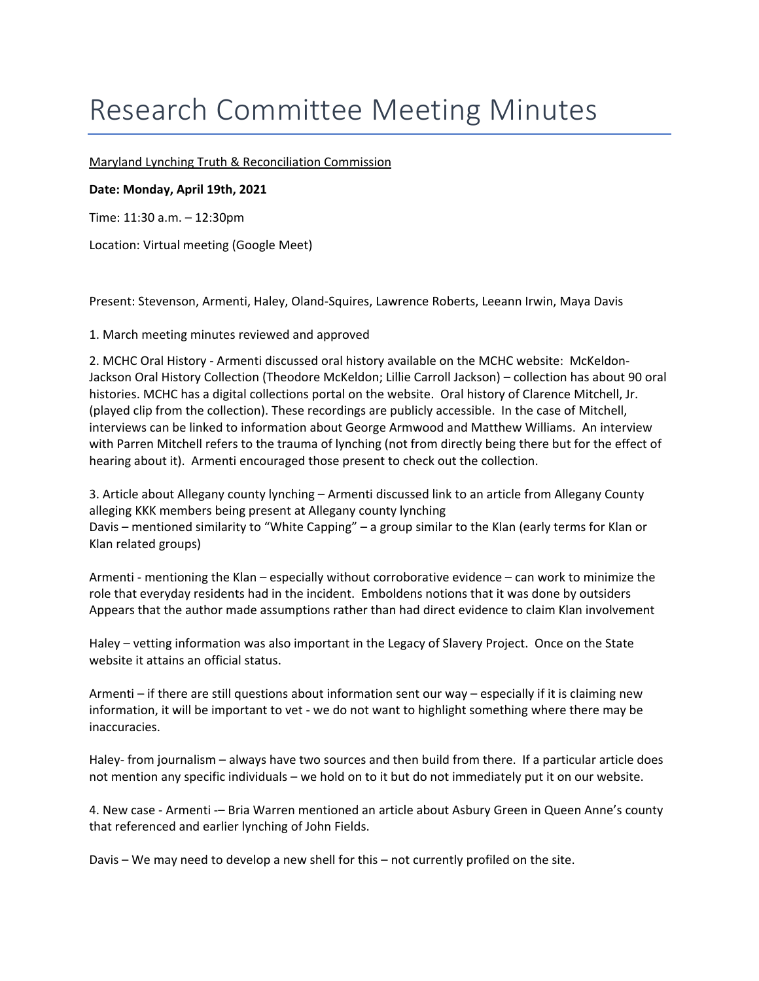## Research Committee Meeting Minutes

Maryland Lynching Truth & Reconciliation Commission

## **Date: Monday, April 19th, 2021**

Time: 11:30 a.m. – 12:30pm

Location: Virtual meeting (Google Meet)

Present: Stevenson, Armenti, Haley, Oland‐Squires, Lawrence Roberts, Leeann Irwin, Maya Davis

1. March meeting minutes reviewed and approved

 2. MCHC Oral History ‐ Armenti discussed oral history available on the MCHC website: McKeldon‐ Jackson Oral History Collection (Theodore McKeldon; Lillie Carroll Jackson) – collection has about 90 oral histories. MCHC has a digital collections portal on the website. Oral history of Clarence Mitchell, Jr. (played clip from the collection). These recordings are publicly accessible. In the case of Mitchell, interviews can be linked to information about George Armwood and Matthew Williams. An interview with Parren Mitchell refers to the trauma of lynching (not from directly being there but for the effect of hearing about it). Armenti encouraged those present to check out the collection.

 3. Article about Allegany county lynching – Armenti discussed link to an article from Allegany County alleging KKK members being present at Allegany county lynching Davis – mentioned similarity to "White Capping" – a group similar to the Klan (early terms for Klan or Klan related groups)

 Armenti ‐ mentioning the Klan – especially without corroborative evidence – can work to minimize the role that everyday residents had in the incident. Emboldens notions that it was done by outsiders Appears that the author made assumptions rather than had direct evidence to claim Klan involvement

 Haley – vetting information was also important in the Legacy of Slavery Project. Once on the State website it attains an official status.

 Armenti – if there are still questions about information sent our way – especially if it is claiming new information, it will be important to vet ‐ we do not want to highlight something where there may be inaccuracies.

Haley- from journalism - always have two sources and then build from there. If a particular article does not mention any specific individuals – we hold on to it but do not immediately put it on our website.

 4. New case ‐ Armenti ‐– Bria Warren mentioned an article about Asbury Green in Queen Anne's county that referenced and earlier lynching of John Fields.

Davis – We may need to develop a new shell for this – not currently profiled on the site.